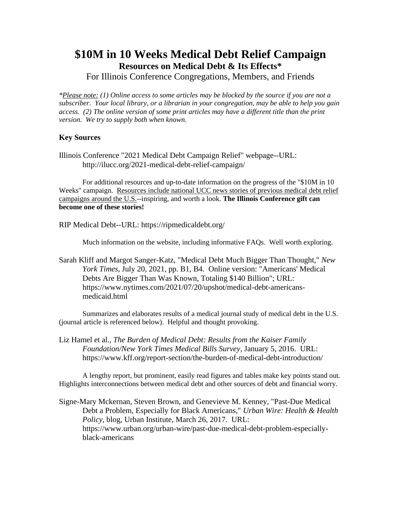## **\$10M in 10 Weeks Medical Debt Relief Campaign Resources on Medical Debt & Its Effects\***

For Illinois Conference Congregations, Members, and Friends

*\*Please note: (1) Online access to some articles may be blocked by the source if you are not a subscriber. Your local library, or a librarian in your congregation, may be able to help you gain access. (2) The online version of some print articles may have a different title than the print version. We try to supply both when known.*

## **Key Sources**

Illinois Conference "2021 Medical Debt Campaign Relief" webpage--URL: http://ilucc.org/2021-medical-debt-relief-campaign/

For additional resources and up-to-date information on the progress of the "\$10M in 10 Weeks" campaign. Resources include national UCC news stories of previous medical debt relief campaigns around the U.S.--inspiring, and worth a look. **The Illinois Conference gift can become one of these stories!**

RIP Medical Debt--URL: https://ripmedicaldebt.org/

Much information on the website, including informative FAQs. Well worth exploring.

Sarah Kliff and Margot Sanger-Katz, "Medical Debt Much Bigger Than Thought," *New York Times*, July 20, 2021, pp. B1, B4. Online version: "Americans' Medical Debts Are Bigger Than Was Known, Totaling \$140 Billion"; URL: https://www.nytimes.com/2021/07/20/upshot/medical-debt-americansmedicaid.html

Summarizes and elaborates results of a medical journal study of medical debt in the U.S. (journal article is referenced below). Helpful and thought provoking.

Liz Hamel et al., *The Burden of Medical Debt: Results from the Kaiser Family Foundation/New York Times Medical Bills Survey*, January 5, 2016. URL: https://www.kff.org/report-section/the-burden-of-medical-debt-introduction/

A lengthy report, but prominent, easily read figures and tables make key points stand out. Highlights interconnections between medical debt and other sources of debt and financial worry.

Signe-Mary Mckernan, Steven Brown, and Genevieve M. Kenney, "Past-Due Medical Debt a Problem, Especially for Black Americans," *Urban Wire: Health & Health Policy*, blog, Urban Institute, March 26, 2017. URL: https://www.urban.org/urban-wire/past-due-medical-debt-problem-especiallyblack-americans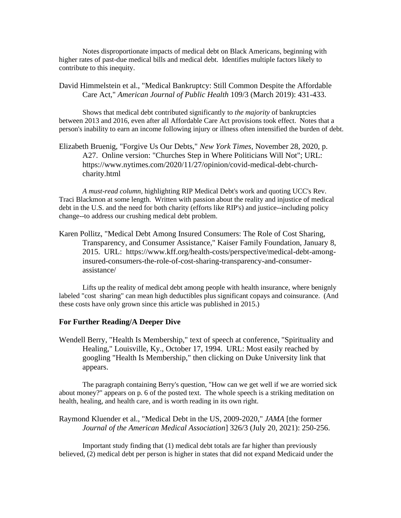Notes disproportionate impacts of medical debt on Black Americans, beginning with higher rates of past-due medical bills and medical debt. Identifies multiple factors likely to contribute to this inequity.

## David Himmelstein et al., "Medical Bankruptcy: Still Common Despite the Affordable Care Act," *American Journal of Public Health* 109/3 (March 2019): 431-433.

Shows that medical debt contributed significantly to *the majority* of bankruptcies between 2013 and 2016, even after all Affordable Care Act provisions took effect. Notes that a person's inability to earn an income following injury or illness often intensified the burden of debt.

Elizabeth Bruenig, "Forgive Us Our Debts," *New York Times*, November 28, 2020, p. A27. Online version: "Churches Step in Where Politicians Will Not"; URL: https://www.nytimes.com/2020/11/27/opinion/covid-medical-debt-churchcharity.html

*A must-read column*, highlighting RIP Medical Debt's work and quoting UCC's Rev. Traci Blackmon at some length. Written with passion about the reality and injustice of medical debt in the U.S. and the need for both charity (efforts like RIP's) and justice--including policy change--to address our crushing medical debt problem.

Karen Pollitz, "Medical Debt Among Insured Consumers: The Role of Cost Sharing, Transparency, and Consumer Assistance," Kaiser Family Foundation, January 8, 2015. URL: https://www.kff.org/health-costs/perspective/medical-debt-amonginsured-consumers-the-role-of-cost-sharing-transparency-and-consumerassistance/

Lifts up the reality of medical debt among people with health insurance, where benignly labeled "cost sharing" can mean high deductibles plus significant copays and coinsurance. (And these costs have only grown since this article was published in 2015.)

## **For Further Reading/A Deeper Dive**

Wendell Berry, "Health Is Membership," text of speech at conference, "Spirituality and Healing," Louisville, Ky., October 17, 1994. URL: Most easily reached by googling "Health Is Membership," then clicking on Duke University link that appears.

The paragraph containing Berry's question, "How can we get well if we are worried sick about money?" appears on p. 6 of the posted text. The whole speech is a striking meditation on health, healing, and health care, and is worth reading in its own right.

Raymond Kluender et al., "Medical Debt in the US, 2009-2020," *JAMA* [the former *Journal of the American Medical Association*] 326/3 (July 20, 2021): 250-256.

Important study finding that (1) medical debt totals are far higher than previously believed, (2) medical debt per person is higher in states that did not expand Medicaid under the